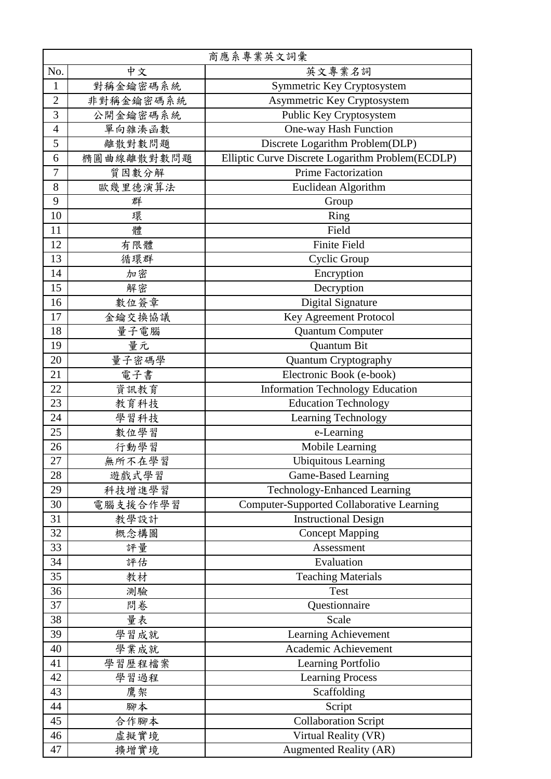| 商應系專業英文詞彙      |            |                                                  |  |
|----------------|------------|--------------------------------------------------|--|
| No.            | 中文         | 英文專業名詞                                           |  |
| $\mathbf{1}$   | 對稱金鑰密碼系統   | Symmetric Key Cryptosystem                       |  |
| $\overline{c}$ | 非對稱金鑰密碼系統  | Asymmetric Key Cryptosystem                      |  |
| 3              | 公開金鑰密碼系統   | Public Key Cryptosystem                          |  |
| $\overline{4}$ | 單向雜湊函數     | One-way Hash Function                            |  |
| 5              | 離散對數問題     | Discrete Logarithm Problem(DLP)                  |  |
| 6              | 橢圓曲線離散對數問題 | Elliptic Curve Discrete Logarithm Problem(ECDLP) |  |
| 7              | 質因數分解      | Prime Factorization                              |  |
| 8              | 歐幾里德演算法    | Euclidean Algorithm                              |  |
| 9              | 群          | Group                                            |  |
| 10             | 環          | Ring                                             |  |
| 11             | 體          | Field                                            |  |
| 12             | 有限體        | <b>Finite Field</b>                              |  |
| 13             | 循環群        | Cyclic Group                                     |  |
| 14             | 加密         | Encryption                                       |  |
| 15             | 解密         | Decryption                                       |  |
| 16             | 數位簽章       | Digital Signature                                |  |
| 17             | 金鑰交換協議     | Key Agreement Protocol                           |  |
| 18             | 量子電腦       | Quantum Computer                                 |  |
| 19             | 量元         | Quantum Bit                                      |  |
| 20             | 量子密碼學      | Quantum Cryptography                             |  |
| 21             | 電子書        | Electronic Book (e-book)                         |  |
| 22             | 資訊教育       | <b>Information Technology Education</b>          |  |
| 23             | 教育科技       | <b>Education Technology</b>                      |  |
| 24             | 學習科技       | Learning Technology                              |  |
| 25             | 數位學習       | e-Learning                                       |  |
| 26             | 行動學習       | Mobile Learning                                  |  |
| $27\,$         | 無所不在學習     | <b>Ubiquitous Learning</b>                       |  |
| 28             | 遊戲式學習      | <b>Game-Based Learning</b>                       |  |
| 29             | 科技增進學習     | Technology-Enhanced Learning                     |  |
| 30             | 電腦支援合作學習   | Computer-Supported Collaborative Learning        |  |
| 31             | 教學設計       | <b>Instructional Design</b>                      |  |
| 32             | 概念構圖       | <b>Concept Mapping</b>                           |  |
| 33             | 評量         | Assessment                                       |  |
| 34             | 評估         | Evaluation                                       |  |
| 35             | 教材         | <b>Teaching Materials</b>                        |  |
| 36             | 測驗         | <b>Test</b>                                      |  |
| 37             | 問卷         | Questionnaire                                    |  |
| 38             | 量表         | Scale                                            |  |
| 39             | 學習成就       | Learning Achievement                             |  |
| 40             | 學業成就       | Academic Achievement                             |  |
| 41             | 學習歷程檔案     | Learning Portfolio                               |  |
| 42             | 學習過程       | <b>Learning Process</b>                          |  |
| 43             | 鷹架         | Scaffolding                                      |  |
| 44             | 腳本         | Script                                           |  |
| 45             | 合作腳本       | <b>Collaboration Script</b>                      |  |
| 46             | 虛擬實境       | Virtual Reality (VR)                             |  |
| 47             | 擴增實境       | <b>Augmented Reality (AR)</b>                    |  |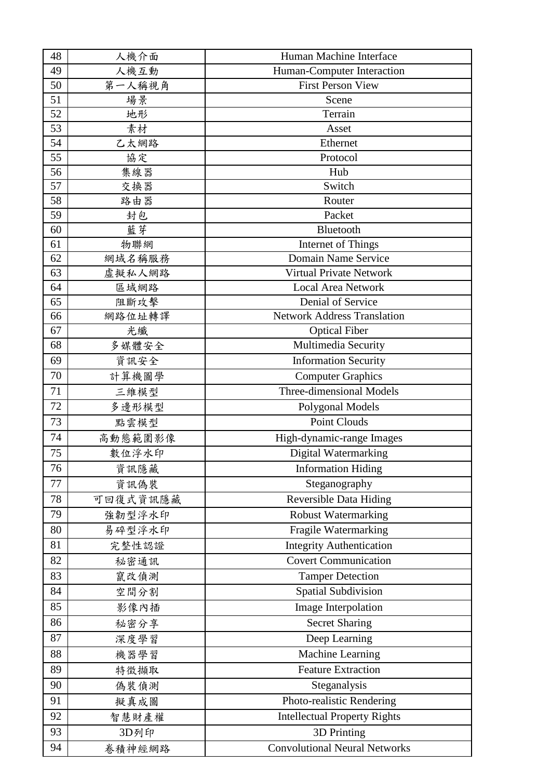| 48 | 人機介面     | Human Machine Interface              |
|----|----------|--------------------------------------|
| 49 | 人機互動     | Human-Computer Interaction           |
| 50 | 第一人稱視角   | <b>First Person View</b>             |
| 51 | 場景       | Scene                                |
| 52 | 地形       | Terrain                              |
| 53 | 素材       | Asset                                |
| 54 | 乙太網路     | Ethernet                             |
| 55 | 協定       | Protocol                             |
| 56 | 集線器      | Hub                                  |
| 57 | 交換器      | Switch                               |
| 58 | 路由器      | Router                               |
| 59 | 封包       | Packet                               |
| 60 | 藍芽       | Bluetooth                            |
| 61 | 物聯網      | Internet of Things                   |
| 62 | 網域名稱服務   | Domain Name Service                  |
| 63 | 虚擬私人網路   | <b>Virtual Private Network</b>       |
| 64 | 區域網路     | <b>Local Area Network</b>            |
| 65 | 阻斷攻擊     | Denial of Service                    |
| 66 | 網路位址轉譯   | <b>Network Address Translation</b>   |
| 67 | 光纖       | <b>Optical Fiber</b>                 |
| 68 | 多媒體安全    | Multimedia Security                  |
| 69 | 資訊安全     | <b>Information Security</b>          |
| 70 | 計算機圖學    | <b>Computer Graphics</b>             |
| 71 | 三維模型     | Three-dimensional Models             |
| 72 | 多邊形模型    | Polygonal Models                     |
| 73 | 點雲模型     | Point Clouds                         |
| 74 | 高動態範圍影像  | High-dynamic-range Images            |
| 75 | 數位浮水印    | Digital Watermarking                 |
| 76 | 資訊隱藏     | <b>Information Hiding</b>            |
| 77 | 資訊偽裝     | Steganography                        |
| 78 | 可回復式資訊隱藏 | <b>Reversible Data Hiding</b>        |
| 79 | 強韌型浮水印   | <b>Robust Watermarking</b>           |
| 80 | 易碎型浮水印   | Fragile Watermarking                 |
| 81 | 完整性認證    | <b>Integrity Authentication</b>      |
| 82 | 秘密通訊     | <b>Covert Communication</b>          |
| 83 | 竄改偵測     | <b>Tamper Detection</b>              |
| 84 | 空間分割     | Spatial Subdivision                  |
| 85 | 影像內插     | Image Interpolation                  |
| 86 | 秘密分享     | <b>Secret Sharing</b>                |
| 87 | 深度學習     | Deep Learning                        |
| 88 | 機器學習     | Machine Learning                     |
| 89 | 特徵擷取     | <b>Feature Extraction</b>            |
| 90 | 偽裝偵測     | Steganalysis                         |
| 91 | 擬真成圖     | Photo-realistic Rendering            |
| 92 | 智慧財產權    | <b>Intellectual Property Rights</b>  |
| 93 | 3D列印     | 3D Printing                          |
| 94 |          | <b>Convolutional Neural Networks</b> |
|    | 卷積神經網路   |                                      |